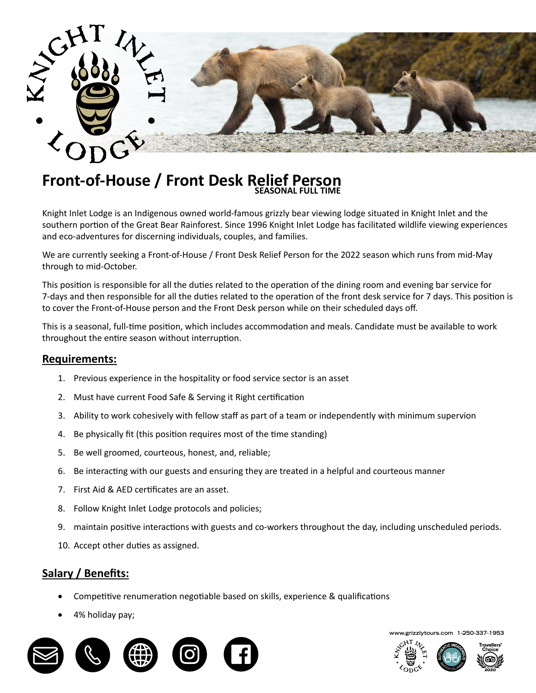

# **Front-of-House / Front Desk Relief Person SEASONAL FULL TIME**

Knight Inlet Lodge is an Indigenous owned world-famous grizzly bear viewing lodge situated in Knight Inlet and the southern portion of the Great Bear Rainforest. Since 1996 Knight Inlet Lodge has facilitated wildlife viewing experiences and eco-adventures for discerning individuals, couples, and families.

We are currently seeking a Front-of-House / Front Desk Relief Person for the 2022 season which runs from mid-May through to mid-October.

This position is responsible for all the duties related to the operation of the dining room and evening bar service for<br>This position is responsible for all the duties related to the operation of the dining room and evenin Full-time (Seasonal) to cover the Front-of-House person and the Front Desk person while on their scheduled days off. 7-days and then responsible for all the duties related to the operation of the front desk service for 7 days. This position is

This is a seasonal, full-time position, which includes accommodation and meals. Candidate must be available to work throughout the entire season without interruption. The management of the entire season without interview of the

## **Requirements:**

- breakfast buffet of hot and continental items as well as providing an egg station, cooking eggs  $\alpha$ 1. Previous experience in the hospitality or food service sector is an asset
- 2. Must have current Food Safe & Serving it Right certification
- 3. Ability to work cohesively with fellow staff as part of a team or independently with minimum supervion  $T_{\text{min}}$  is a seasonal, which is accommodate must be available to an
- 4. Be physically fit (this position requires most of the time standing)
- 5. Be well groomed, courteous, honest, and, reliable;  $\mathcal{P}(\mathcal{P})=\mathcal{P}(\mathcal{P})$  and, reliable; and, reliable; and, reliable; and, reliable; and, reliable; and, reliable; and, reliable; and, reliable; and, reliable; and, reliable; and, reliable; and, reliable; and, reliable;
- 6. Be interacting with our guests and ensuring they are treated in a helpful and courteous manner
- $\epsilon$  because  $\epsilon$  or organizing and maintaining tiding tiding tiding tiding the storage areas of  $\epsilon$ 7. First Aid & AED certificates are an asset.
- be experienced with baking bread/loaves/cookies, and soup preparation; 8. Follow Knight Inlet Lodge protocols and policies;
- $\alpha$  puests and co-workers throughout the day, including unscheduled periods, 9. maintain positive interactions with guests and co-workers throughout the day, including unscheduled periods.
- 10. Accept other duties as assigned.

# **Salary / Benefits:**

- Competitive renumeration negotiable based on skills, experience & qualifications
- 4% holiday pay;



**www.grizzlytours.com 1-250-337-1953**